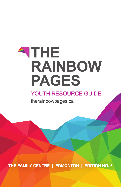# **ATHE RAINBOW PAGES**

### YOUTH RESOURCE GUIDE

therainbowpages.ca

**THE FAMILY CENTRE | EDMONTON | EDITION NO. 6**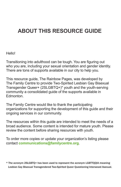### **ABOUT THIS RESOURCE GUIDE**

#### Hello!

Transitioning into adulthood can be tough. You are figuring out who you are, including your sexual orientation and gender identity. There are tons of supports available in our city to help you.

This resource guide, The Rainbow Pages, was developed by The Family Centre to provide Two-Spirited Lesbian Gay Bisexual Transgender Queer+ (2SLGBTQ+)\* youth and the youth-serving community a consolidated guide of the supports available in Edmonton.

The Family Centre would like to thank the participating organizations for supporting the development of this guide and their ongoing services in our community.

The resources within this guide are intended to meet the needs of a broad audience. Some content is intended for mature youth. Please review the content before sharing resources with youth.

To order more copies or update your organization's listing please contact **communications@familycentre.org**.

\* The acronym 2SLGBTQ+ has been used to represent the acronym LGBTTQQIA meaning Lesbian Gay Bisexual Transgendered Two-Spirited Queer Questioning Intersexed Asexual.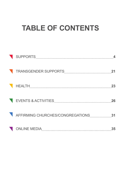## **TABLE OF CONTENTS**

|                                     | 21 |
|-------------------------------------|----|
|                                     | 23 |
| EVENTS & ACTIVITIES AND ACTIVITIES  | 26 |
| AFFIRMING CHURCHES/CONGREGATIONS 31 |    |
|                                     | 35 |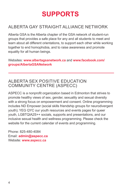### ALBERTA GAY STRAIGHT ALLIANCE NETWORK

Alberta GSA is the Alberta chapter of the GSA network of student-run groups that provides a safe place for any and all students to meet and learn about all different orientations, to support each other while working together to end homophobia, and to raise awareness and promote equality for all human beings.

#### Websites: **www.albertagsanetwork.ca** and **www.facebook.com/ groups/AlbertaGSANetwork**

#### ALBERTA SEX POSITIVE EDUCATION COMMUNITY CENTRE (ASPECC)

ASPECC is a nonprofit organization based in Edmonton that strives to promote healthy views of sex, gender, sexuality and sexual diversity with a strong focus on empowerment and consent. Online programming includes ND Empower (social skills friendship groups for neurodivergent youth); YEG QYC our youth resources and events pages for queer youth, LGBTQIA2S++ socials, supports and presentations, and our inclusive sexual health and wellness programming. Please check the website for the current calendar of events and programming.

Phone: 825-480-4084 Email: **admin@aspecc.ca**  Website: **www.aspecc.ca**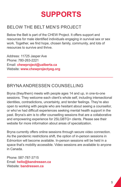#### BELOW THE BELT MEN'S PROJECT

Below the Belt is part of the CHEW Project. It offers support and resources for male identified individuals engaging in survival sex or sex work. Together, we find hope, chosen family, community, and lots of resources to survive and thrive.

Address: 11725 Jasper Ave Phone: 780-263-2221 Email: **chewproject@ualberta.ca** Website: **www.chewprojectyeg.org**

### BRYNA ANDRESSEN COUNSELLING

Bryna (they/them) meets with people ages 14 and up, in one-to-one sessions. They welcome each client's whole self, including intersectional identities, contradictions, uncertainty, and tender feelings. They're also open to working with people who are hesitant about seeing a counsellor, or who've had difficult experiences seeking mental health support in the past. Bryna's aim is to offer counselling sessions that are a collaborative and empowering experience for 2SLGBTQ+ clients. Please see their website for more information about areas of specialization.

Bryna currently offers online sessions through secure video connection. As the pandemic restrictions shift, the option of in-person sessions in Edmonton will become available. In-person sessions will be held in a space that's mobility accessible. Video sessions are available to anyone in Canada.

Phone: 587-787-3715 Email: **hello@bandressen.ca** Website: **bandressen.ca**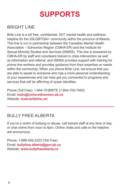#### BRIGHT LINE

Brite Line is a toll free, confidential, 24/7 mental health and wellness helpline for the 2SLGBTQIA+ community within the province of Alberta. This line is run in partnership between the Canadian Mental Health Association – Edmonton Region (CMHA-ER) and the Institute for Sexual Minority Studies and Services (ISMSS). This line is answered by CMHA-ER by staff and volunteers trained in crisis intervention as well as information and referral, and ISMSS provides support with training for phone line workers and provides guidance from their expertise on needs within the community. When you phone Brite Line, we ensure that you are able to speak to someone who has a more personal understanding of your experiences and can help get you connected to programs and services that will be affirming of queer identities.

Phone (Toll Free): 1-844-70-BRITE (1-844-702-7483) Email: **main@cmha-edmonton.ab.ca** Website: **www.briteline.ca/**

### BULLY FREE ALBERTA

If you're a victim of bullying or abuse, call trained staff at any time of day, or chat online from noon to 8pm. Online chats and calls to the helpline are anonymous.

Phone: 1-888-456-2323 (Toll Free) Email: **bullyfree.alberta@gov.ab.ca** Website: **www.bullyfreealberta.ca**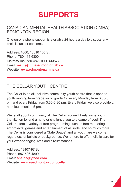#### CANADIAN MENTAL HEALTH ASSOCIATION (CMHA) - EDMONTON REGION

One-on-one phone support is available 24 hours a day to discuss any crisis issues or concerns.

Address: #300, 10010 105 St Phone: 780-414-6300 Distress line: 780-482-HELP (4357) Email: **main@cmha-edmonton.ab.ca** Website: **www.edmonton.cmha.ca**

#### THE CELLAR YOUTH CENTRE

The Cellar is an all-inclusive community youth centre that is open to youth ranging from grade six to grade 12, every Monday from 3:30-5 pm and every Friday from 3:30-6:30 pm. Every Friday we also provide a nutritious meal at 5 pm.

We're all about community at The Cellar, so we'll likely invite you in the kitchen to lend a hand or challenge you to a game of pool! The Cellar offers a variety of free programming such as free mentoring, art projects, games and entertainment of all sorts, and so much more. The Cellar is considered a "Safe Space" and all youth are welcome, regardless of beliefs or backgrounds. We're here to offer holistic care for your ever-changing lives and circumstances.

Address: 13407-97 St Phone: 587-596-4899 Email: **shaina@yfced.com** Website: **www.yuedmonton.com/cellar**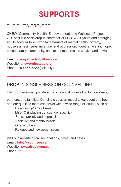### THE CHEW PROJECT

CHEW (Community, Health, Empowerment, and Wellness) Project OUTpost is a crisis/drop-in centre for 2SLGBTQIA+ youth and emerging adults ages 14 to 29, who face barriers of mental health, poverty, houselessness, substance use, and oppression. Together, we find hope, chosen family, community, and lots of resources to survive and thrive.

Email: **chewproject@ualberta.ca** Website: **chewprojectyeg.org** Phone: 780-665-5220 (call only)

#### DROP-IN SINGLE SESSION COUNSELLING

FREE professional, private and confidential counselling to individuals,

partners, and families. Our single session model takes about one hour and our qualified team can assist with a wide range of issues, such as:

- Relationship/family Iisues
- LGBTQ (including transgender specific)
- Stress, anxiety and depression
- Addiction and mental health
- Grief and loss
- Refugee and newcomer issues

Visit our website or call for locations, times, and dates Email: **info@dropinyeg.ca**  Website: **www.dropinyeg.ca** Phone: 211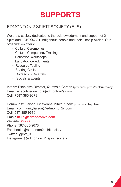### EDMONTON 2 SPIRIT SOCIETY (E2S)

We are a society dedicated to the acknowledgment and support of 2 Spirit and LGBTQQIA+ Indigenous people and their kinship circles. Our organization offers:

- Cultural Ceremonies
- Cultural Competency Training
- Education Workshops
- Land Acknowledgments
- Resource Tabling
- Sharing Circles
- Outreach & Referrals
- Socials & Events

Interim Executive Director, Quetzala Carson (pronouns: presh/cualquiera/any) Email: executivedirector@edmonton2s.com Cell: 7587-385-9673

Community Liaison, Cheyenne Mihko Kihêw (pronouns: they/them) Email: communityliaison@edmonton2s.com Cell: 587-385-9670 Email: **hello@edmonton2s.com** Website: **e2s.ca**  Phone: 587-385-9673 Facebook: @edmonton2spiritsociety Twitter: @e2s\_s Instagram: @edmonton\_2\_spirit\_society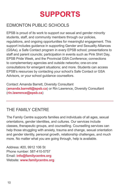### EDMONTON PUBLIC SCHOOLS

EPSB is proud of its work to support our sexual and gender minority students, staff, and community members through our policies, regulations, and ongoing opportunities for meaningful engagement. This support includes guidance in supporting Gender and Sexuality Alliances (GSAs), a Safe Contact program in every EPSB school; presentations to staff and parent councils; participation in events such as Pink Shirt Day, EPSB Pride Week, and the Provincial GSA Conference; connections to complementary agencies and outside networks; one-on-one consultations for emergent situations; and more. Students can access EPSB's resources by contacting your school's Safe Contact or GSA Advisors, or your school guidance counsellors.

Contact: Amanda Barrett, Diversity Consultant (**amanda.barrett@epsb.ca**) or Rin Lawrence, Diversity Consultant (**rin.lawrence@epsb.ca**)

### THE FAMILY CENTRE

The Family Centre supports families and individuals of all ages, sexual orientations, gender identities, and cultures. Our services include classes, therapeutic groups, and counselling. Counselling services can help those struggling with anxiety, trauma and change, sexual orientation and gender identity, personal growth, relationship challenges, and much more. No matter what you are going through, help is available.

Address: #20, 9912 106 St Phone number: 587-410-5757 Email: **info@familycentre.org**  Website: **www.familycentre.org**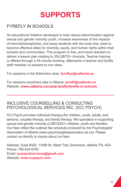### FYREFLY IN SCHOOLS

An educational initiative developed to help reduce discrimination against sexual and gender minority youth, increase awareness of the impacts of homo/bi/transphobia, and equip students with the tools they need to become effective allies for diversity, equity, and human rights within their schools and communities. This program is free, and trains teachers to deliver a lesson plan relating to 2SLGBTQ+ diversity. Teacher training is offered through a 45-minute booking, afterwards a teacher and fyrefly staff member co-present to one class.

For sessions in the Edmonton area: **fyreflys@ualberta.ca**

For sessions anywhere else in Alberta: **jam20@ualberta.ca** Website: **www.ualberta.ca/camp-fyrefly/fyrefly-in-schools**

#### INCLUSIVE COUNSELLING & CONSULTING PSYCHOLOGICAL SERVICES INC. (ICC PSYCH)

ICC Psych provides individual therapy (for children, youth, adults, and seniors), couples therapy, and family therapy. We specialize in supporting sexual and gender minority (LGBTQ2S+) children, youth and families. Our fees reflect the outlined fee schedule produced by the Psychologists' Association of Alberta (www.psychologistsassocation.ab.ca). Please contact us directly to inquire about our fees.

Address: Suite #320, 11808 St. Albert Trail, Edmonton, Alberta T5L 4G4 Phone: 780-424-0783 Email: **iccpsychservices@gmail.com** Website: **www.iccpsych.com**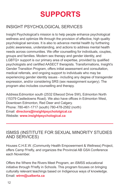### INSIGHT PSYCHOLOGICAL SERVICES

Insight Psychological's mission is to help people enhance psychological wellness and optimize life through the provision of effective, high quality psychological services. It is also to advance mental health by furthering public awareness, understanding, and actions to address mental health needs across communities. We offer counselling for individuals, couples, groups and families. Modern sex therapy and gender identity, and LGBTQ+ support is our primary area of expertise, provided by qualified psychologists and certified AASECT therapists. Transformations, Insight's Gender Transition Program, offers initial assessment and consultation, medical referrals, and ongoing support to individuals who may be experiencing gender identity issues - including any degree of transgender expression, and/or considering SRS (sex reassignment surgery). The program also includes counselling and therapy.

Address:Edmonton south (2532 Ellwood Drive SW), Edmonton North (15379 Castledowns Road). We also have offices in Edmonton West, Downtown Edmonton, Red Deer and Calgary. Phone: 780-461-1717 (south) 780-478-2582 (north) Email: **directors@insightpsychololgical.ca** Website: **www.insightpsychological.ca**

#### ISMSS (INSTITUTE FOR SEXUAL MINORITY STUDIES AND SERVICES)

Houses C.H.E.W. (Community Health Empowerment & Wellness) Project, offers Camp fYrefly, and organizes the Provincial AB GSA Conference each November.

Offers the Where the Rivers Meet Program, an iSMSS educational initiative through fYrefly in Schools. This program focuses on bringing culturally relevant teachings based on Indigenous ways of knowledge. Email: **wtrm@ualberta.ca**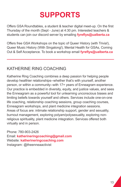Offers GSA Roundtables, a student & teacher digital meet-up. On the first Thursday of the month (Sept - June) at 4:30 pm. Interested teachers & students can join our discord server by emailing **fyreflys@ualberta.ca**

Offers free GSA Workshops on the topic of Queer History (with Trivia!), Queer Music History (With Singalong!), Mental Health for GSAs, Coming Out & Self Acceptance. To book a workshop email **fyreflys@ualberta.ca**

#### KATHERINE RING COACHING

Katherine Ring Coaching combines a deep passion for helping people develop healthier relationships--whether that's with yourself, another person, or within a community--with 17+ years of Enneagram experience. Our practice is embedded in diversity, equity, and justice values, and sees the Enneagram as a powerful tool for unlearning unconscious biases and limiting beliefs towards yourself and others. Services include one-on-one life coaching, relationship coaching sessions, group coaching courses, Enneagram workshops, and plant medicine integration sessions. Areas of focus are: intimate relationship support, gender and sexuality, burnout management, exploring polyam/polysexuality, exploring nonreligious spirituality, plant medicine integration. Services offered both virtually and in person.

Phone: 780-903-2426 Email: **katherineringcoaching@gmail.com** Website: **katherineringcoaching.com** Instagram: @theenneaactivist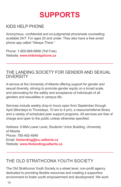#### KIDS HELP PHONE

Anonymous, confidential and on-judgmental phone/web counselling available 24/7. For ages 20 and under. They also have a free smart phone app called "Always There."

Phone: 1-800-668-6868 (Toll Free) Website: **www.kidshelpphone.ca**

#### THE LANDING SOCIETY FOR GENDER AND SEXUAL **DIVERSITY**

A service at the University of Alberta offering support for gender and sexual diversity, striving to promote gender equity on a broad scale, and advocating for the safety and acceptance of individuals of all genders and sexualities in campus life.

Services include weekly drop-in hours open from September through April (Mondays to Thursdays, 10 am to 4 pm), a resource/referral library and a variety of scheduled peer support programs. All services are free of charge and open to the public unless otherwise specified.

Address: 0-68A Lower Level, Students' Union Building, University of Alberta Phone: 780-492-4949 Email: **thelanding@su.ualberta.ca** Website: **www.thelandingualberta.ca**

### THE OLD STRATHCONA YOUTH SOCIETY

The Old Strathcona Youth Society is a street level, non-profit agency dedicated to providing flexible resources and creating a supportive environment to foster youth empowerment and development. We work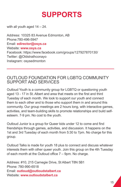with all youth aged  $14 - 24$ .

Address: 10325 83 Avenue Edmonton, AB Phone:780-496-5947 Email: **edirector@osys.ca** Website: **www.osys.ca** Facebook: https://www.facebook.com/groups/127927870130/ Twitter: @Oldstrathconayo Instagram: osysedmonton

#### OUTLOUD FOUNDATION FOR LGBTQ COMMUNITY SUPPORT AND SERVICES

Outloud Youth is a community group for LGBTQ or questioning youth aged 13 - 17 in St. Albert and area that meets on the first and third Tuesday of each month. We look to support our youth and connect them to each other and to those who support them in and around this community. Our group meetings are 2 hours long, with interactive games, activities, and team-building skills to promote relationships and build selfesteem. 7-9 pm. No cost to the youth.

Outloud Junior is a group for Queer kids under 12 to come and find friendships through games, activities, and discussion. It happens on the 1st and 3rd Tuesday of each month from 5:30 to 7pm. No charge for this group.

Outloud Talks is made for youth 18 plus to connect and discuss whatever interests them with other queer youth. Join this group on the 4th Tuesday of each month at the Outloud office 7 – 9pm. No charge.

Address: #10, 215 Carnegie Drive, St Albert T8N 5B1 Phone: 780-990-6518 Email: **outloud@outloudstalbert.ca** Website: **www.outloudstalbert.ca**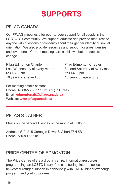#### PFI AG CANADA

Our PFLAG meetings offer peer-to-peer support for all people in the LGBTQ2S+ community. We support, educate and provide resources to anyone with questions or concerns about their gender identity or sexual orientation. We also provide resources and support for allies, families, and loved ones. Current meetings are as follows, but are subject to change.

Pflag Edmonton Chapter Pflag Edmonton Chapter Last Wednesday of every month Second Saturday of every month 6:30-8:30pm 2:30-4:30pm 16 years of age and up 16 years of age and up

For meeting details contact: Phone: 1-888-530-6777 Ext 581 (Toll Free) Email: **edmontonab@pflagcanada.ca** Website: **www.pflagcanada.ca**

### PFLAG ST. ALBERT

Meets on the second Tuesday of the month at Outloud.

Address: #10, 215 Carnegie Drive, St Albert T8N 5B1 Phone: 780-990-6518

#### PRIDE CENTRE OF EDMONTON

The Pride Centre offers a drop-in centre, information/resources, programming, an LGBTQ library, free counselling, internet access, newcomer/refugee support in partnership with EMCN, binder exchange program, and youth programs.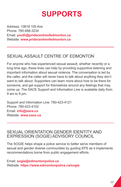Address: 10618 105 Ave Phone: 780-488-3234 Email: **youth@pridecentreofedmonton.ca** Website: **www.pridecentreofedmonton.ca**

### SEXUAL ASSAULT CENTRE OF EDMONTON

For anyone who has experienced sexual assault, whether recently or a long time ago, these lines can help by providing supportive listening and important information about sexual violence. The conversation is led by the caller, and the caller will never have to talk about anything they don't want to talk about. Supporters can learn more about how to be there for someone, and get support for themselves around any feelings that may come up. The SACE Support and Information Line is available daily from 9 am to 9 pm.

Support and Information Line: 780-423-4121 Phone: 780-423-4102 Email: **info@sace.ca** Website: **www.sace.ca**

#### SEXUAL ORIENTATION GENDER IDENTITY AND EXPRESSION (SOGIE) ADVISORY COUNCIL

The SOGIE helps shape a police service to better serve members of sexual and gender diverse communities by guiding EPS as it implements recommendations borne from public engagement efforts.

Email: **sogie@edmontonpolice.ca** Website: **https://www.edmontonpolice.ca/sogie**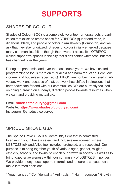### SHADES OF COLOUR

Shades of Colour (SOC) is a completely volunteer run grassroots organization that exists to create space for QTIBPOCs (queer and trans, Indigenous, black, and people of color) in Amiskwaciy (Edmonton) and we ask that they stay prioritized. Shades of colour initially emerged because many communities felt as though there weren't accessible QTBIPOC closed supportive spaces in the city that didn't center whiteness, but that has changed over the years.

During the pandemic, and over the past couple years, we have shifted programming to focus more on mutual aid and harm reduction. Poor, low income, and houseless racialized QTBIPOC are not being centered in advocacy work and because of that, our work has shifted in directions that better advocate for and with our communities. We are currently focused on doing outreach on sundays, directing people towards resources when we can, and providing mutual aid.

Email: **shadesofcolouryeg@gmail.com** Website: **https://www.shadesofcolouryeg.com/** Instagram: @shadesofcolouryeg

#### SPRUCE GROVE GSA

The Spruce Grove GSA is a Community GSA that is committed to ensuring youth have a safe(r) and inclusive environment where LGBTQ2S folk and Allies feel included, protected, and respected. Our purpose is to bring together youth of various ages, gender, religion, ethnicity, schools, and towns, to enrich our growth in society. As well as to bring together awareness within our community of LGBTQ2S minorities. We provide anonymous support, referrals and resources so youth can make informed decisions.

\* Youth centred \* Confidentiality \* Anti-racism \* Harm reduction \* Growth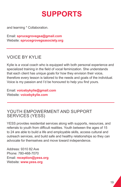and learning \* Collaboration.

Email: **sprucegrovegsa@gmail.com** Website: **sprucegrovegsasociety.org**

#### VOICE BY KYLIE

Kylie is a vocal coach who is equipped with both personal experience and specialized training in the field of vocal feminization. She understands that each client has unique goals for how they envision their voice, therefore every lesson is tailored to the needs and goals of the individual. Voice is my passion and I'd be honoured to help you find yours.

Email: **voicebykylie@gmail.com** Website: **voicebykylie.com**

#### YOUTH EMPOWERMENT AND SUPPORT SERVICES (YESS)

YESS provides residential services along with supports, resources, and referrals to youth from difficult realities. Youth between the ages of 15 to 24 are able to build a life and employable skills, access cultural and outreach services, and build safe and healthy relationships so they can advocate for themselves and move toward independence.

Address: 9310 82 Ave Phone: 780-468-7070 Email: **reception@yess.org** Website: **www.yess.org**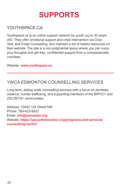#### YOUTHSPACE CA

Youthspace.ca is an online support network for youth (up to 30 years old). They offer emotional support and crisis intervention via Chat, Text, and Email Counselling, and maintain a list of helpful resources on their website. The site is a non-judgmental space where you can voice your thoughts and get free, confidential support from a compassionate volunteer.

Website: **www.youthspace.ca**

#### YWCA FDMONTON COUNSELLING SERVICES

Long term, sliding scale counselling services with a focus on domestic violence, human trafficking, and supporting members of the BIPOC+ and 2SLCBTQ+ communities

Address: 10402 124 Street NW Phone: 780-423-9922 Email: **info@ywcaedm.org** Website: **https://ywcaofedmonton.org/programs-and-services/ counselling-centre/**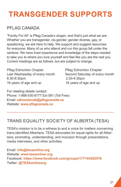## **TRANSGENDER SUPPORTS**

#### PFI AG CANADA

"Family For All" is Pflag Canada's slogan, and that's just what we are. Whether you are transgender, cis-gender, gender diverse, gay, or questioning, we are here to help. We support and suggest resources for everyone. Many of us who attend and run this group fall under the rainbow. We have lived experience and knowledge of the steps needed to take you to where you love yourself and feel like you are the real you. Current meetings are as follows, but are subject to change.

Pflag Edmonton Chapter Pflag Edmonton Chapter 6:30-8:30pm 2:30-4:30pm 16 years of age and up 16 years of age and up

Last Wednesday of every month Second Saturday of every month

For meeting details contact: Phone: 1-888-530-6777 Ext 581 (Toll Free) Email: **edmontonab@pflagcanada.ca** Website: **www.pflagcanada.ca**

### TRANS EQUALITY SOCIETY OF ALBERTA (TESA)

TESA's mission is to be a witness to and a voice for matters concerning trans-identified Albertans. TESA advocates for equal rights for all Albertans; promoting, understanding, and inclusion through presentations, media interviews, and other activities.

Email: **info@tesaonline.org** Website: **www.tesaonline.org** Facebook: **https://www.facebook.com/groups/177144382578** Twitter: **@TESAonlineorg**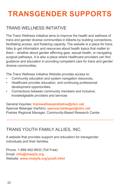## **TRANSGENDER SUPPORTS**

#### TRANS WELLNESS INITIATIVE

The Trans Wellness Initiative aims to improve the health and wellness of trans and gender diverse communities in Alberta by building connections, facilitating access, and fostering capacity. The website is a place for trans folks to get information and resources about health topics that matter to them – whether about gender affirming gear, sexual health, or navigating surgical pathways. It is also a place where healthcare providers can find guidance and education in providing competent care for trans and gender diverse communities.

The Trans Wellness Initiative Website provides access to:

- Community education and system navigation resources,
- Healthcare provider education, and continuing professional development opportunities,
- Connections between community members and inclusive, knowledgeable providers and services

General Inquiries: **transwellnessinitiative@cbrc.net** Spencer Belanger (he/him): **spencer.belanger@cbrc.net** Prairies Regional Manager, Community-Based Research Centre

#### TRANS YOUTH FAMILY ALLIES, INC.

A website that provides support and education for transgender individuals and their families.

Phone: 1-888-462-8932 (Toll Free) Email: **info@imatyfa.org** Website: **www.imatyfa.org/youth.html**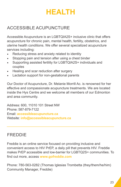### **HEALTH**

### ACCESSIBLE ACUPUNCTURE

Accessible Acupuncture is an LGBTQIA2S+ inclusive clinic that offers acupuncture for chronic pain, mental health, fertility, obstetrics, and uterine health conditions. We offer several specialized acupuncture services including:

- Reducing stress and anxiety related to identity
- Stopping pain and tension after using a chest binder
- Supporting assisted fertility for LGBTQIA2S+ individuals and couples
- Healing and scar reduction after surgery
- Lactation support for non-gestational parents

Our Doctor of Acupuncture, Dr. Melanie Morrill Ac. is renowned for her effective and compassionate acupuncture treatments. We are located inside the Hys Centre and we welcome all members of our Edmonton and area community.

Address: 600, 11010 101 Street NW Phone: 587-879-7122 Email: **accessibleacupuncture.ca** Website: **info@accessibleacupuncture.ca**

### FREDDIE

Freddie is an online service focused on providing inclusive and convenient access to HIV PrEP, a daily pill that prevents HIV. Freddie makes PrEP accessible and low-barrier for LGBTQ2S+ communities. To find out more, access **www.gofreddie.com**

Phone: 780-563-0282 (Thomas Iglesias Trombetta (they/them/he/him) Community Manager, Freddie)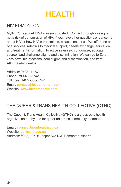

#### HIV EDMONTON

Myth...You can get HIV by kissing. Busted!! Contact through kissing is not a risk of transmission of HIV. If you have other questions or concerns about HIV or how HIV is transmitted, please contact us. We offer one on one services, referrals to medical support, needle exchange, education, and treatment information. Practice safer sex, condomize, educate yourself and challenge stigma and discrimination! We can go to Zero. Zero new HIV infections, zero stigma and discrimination, and zero AIDS related deaths.

Address: 9702 111 Ave Phone: 780-488-5742 Toll Free: 1-877-388-5742 Email: **contact@hivedmonton.com** Website: **www.hivedmonton.com**

#### THE QUEER & TRANS HEALTH COLLECTIVE (QTHC)

The Queer & Trans Health Collective (QTHC) is a grassroots health organization run by and for queer and trans community members.

Email: **connect@ourhealthyeg.ca** Website: **ourhealthyeg.ca** Address: #202, 10526 Jasper Ave NW, Edmonton, Alberta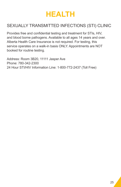

#### SEXUALLY TRANSMITTED INFECTIONS (STI) CLINIC

Provides free and confidential testing and treatment for STIs, HIV, and blood borne pathogens. Available to all ages 14 years and over. Alberta Health Care Insurance is not required. For testing, this service operates on a walk-in basis ONLY. Appointments are NOT booked for routine testing.

Address: Room 3B20, 11111 Jasper Ave Phone: 780-342-2300 24 Hour STI/HIV Information Line: 1-800-772-2437 (Toll Free)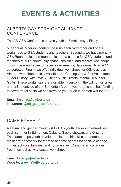#### ALBERTA GAY STRAIGHT ALLIANCE **CONFERENCE**

The AB GSA Conference serves youth in 3 main ways. Firstly,

our annual in-person conference runs each November and offers workshops to GSA students and teachers. Secondly, we have monthly GSA Roundtables, the roundtables are a chance for GSA students and teachers to build community space, socialize, and receive workshops. To join the roundtables or receive our meeting dates email fyreflys@ ualberta.ca. Finally, we offer individual workshops for GSAs across Alberta, workshop topics available are: Coming Out & Self Acceptance, Queer History (with trivia!), Queer Music History, Mental Health for GSAs. These workshops are available in-person in the Edmonton area, and online outside of the Edmonton Area. If your org/school has funding to cover travel costs we can travel to you for an in-person workshop.

Email: **fyreflys@ualberta.ca** Instagram: **@ab\_gsa\_conference**

### CAMP FYREFLY

A sexual and gender minority (LGBTQ) youth leadership retreat held each summer in Edmonton, Calgary, Saskatchewan, and Ontario. The camp helps youth develop the leadership skills and personal resiliency necessary for them to become agents for positive change in their schools, families, and communities. Camp fYrefly provides free in-school activity-based workshops.

Email: **fYrefly@ualberta.ca** Website: **www.fYrefly.ualberta.ca**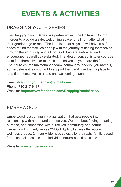#### DRAGGING YOUTH SERIES

The Dragging Youth Series has partnered with the Unitarian Church in order to provide a safe, welcoming space for all no matter what their gender, age or race. The idea is a that all youth will have a safe space to find themselves or help with the journey of finding themselves through the art of drag and all forms of drag are embraced and encouraged, as well as celebrated. The idea or concept is to encourage all to find themselves or express themselves as youth are the future. The future church maintenance team, community leaders, you name it, so we believe it is important to support them and give them a place to help find themselves in a safe and welcoming manner.

Email: **draggingyouthshows@gmail.com** Phone: 780-217-6487 Website: **https://www.facebook.com/DraggingYouthSeries/**

#### EMBERWOOD

Emberwood is a community organization that gets people into relationship with nature and themselves. We are about finding meaning, purpose, and connection with ourselves, community and nature. Emberwood primarily serves 2SLGBTQIA folks. We offer eco-art wellness groups, 24 hour wilderness solos, silent retreats, family-based forest school sessions, and individual nature-based sessions.

Website: **www.emberwood.ca**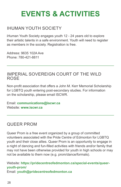#### IHUMAN YOUTH SOCIETY

iHuman Youth Society engages youth 12 - 24 years old to explore their artistic talents in a safe environment. Youth will need to register as members in the society. Registration is free.

Address: 9635 102A Ave Phone: 780-421-8811

#### IMPERIAL SOVEREIGN COURT OF THE WILD ROSE

Non-profit association that offers a John M. Kerr Memorial Scholarship for LGBTQ youth entering post-secondary studies. For information on the scholarship, please email ISCWR.

Email: **communications@iscwr.ca** Website: **www.iscwr.ca**

#### QUEER PROM

Queer Prom is a free event organized by a group of committed volunteers associated with the Pride Centre of Edmonton for LGBTQ youth and their close allies. Queer Prom is an opportunity to engage in a night of dancing and fun-filled activities with friends and/or family that may not have been otherwise provided for youth in high schools or may not be available to them now (e.g. prom/dance/formals).

Website: **https://pridecentreofedmonton.ca/special-events/queeryouth-prom/** Email: **youth@pridecentreofedmonton.ca**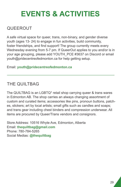#### QUEEROUT

A safe virtual space for queer, trans, non-binary, and gender diverse youth (ages 13- 24) to engage in fun activities, build community, foster friendships, and find support! The group currently meets every Wednesday evening from 5-7 pm. If QueerOut applies to you and/or is in your age grouping, please add YOUTH\_PCE #3637 on Discord or email youth@pridecentreofedmonton.ca for help getting setup.

Email: **youth@pridecentreofedmonton.ca**

### THE QUILTBAG

The QUILTBAG is an LGBTQ\* retail shop carrying queer & trans wares in Edmonton AB. The shop carries an always changing assortment of custom and curated items; accessories like pins, pronoun buttons, patches, stickers; art by local artists; small gifts such as candles and soaps; and trans gear including chest binders and compression underwear. All items are procured by Queer/Trans vendors and consignors.

Store Address: 10516 Whyte Ave, Edmonton, Alberta Email: **thequiltbag@gmail.com** Phone: 780-784-5265 Social Medias: **@thequiltbag**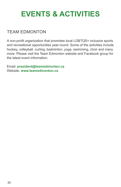#### TEAM EDMONTON

A non-profit organization that promotes local LGBTQS+ inclusive sports and recreational opportunities year-round. Some of the activities include hockey, volleyball, curling, badminton, yoga, swimming, choir and many more. Please visit the Team Edmonton website and Facebook group for the latest event information.

Email: **president@teamedmonton.ca** Website: **www.teamedmonton.ca**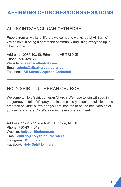#### ALL SAINTS' ANGLICAN CATHEDRAL

People from all walks of life are welcomed to workshop at All Saints'. We believe in being a part of the community and lifting everyone up in Christ's love.

Address: 10035 103 St, Edmonton, AB T5J 0X5 Phone: 780-428-6323 Website: **allsaintscathedral.com** Email: **admin@allsaintscathedral.com** Facebook: **All Saints' Anglican Cathedral**

#### HOLY SPIRIT LUTHERAN CHURCH

Welcome to Holy Spirit Lutheran Church! We hope to join with you in the journey of faith. We pray that in this place you feel the full, liberating embrace of Christ's love and you are inspired to be the best version of yourself and share Christ's love with everyone you meet.

Address: 11223 - 51 ave NW Edmonton, AB T6J 6Z6 Phone: 780-434-4012 Website: **holyspiritlutheran.ca** Email: **church@holyspiritlutheran.ca** Instagram: **HSLutheran** Facebook: **Holy Spirit Lutheran**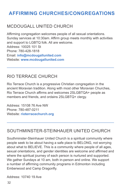#### MCDOUGALL UNITED CHURCH

Affirming congregation welcomes people of all sexual orientations. Sunday services at 10:30am. Affirm group meets monthly with activities and support to LGBTQ folk. All are welcome. Address: 10025 101 St Phone: 780-428-1818 Email: **info@mcdougallunited.com** Website: **www.mcdougallunited.com**

#### RIO TERRACE CHURCH

Rio Terrace Church is a progressive Christian congregation in the ancient Moravian tradition. Along with most other Moravian Churches, Rio Terrace Church affirms and welcomes 2SLGBTQA+ people as members and friends, and ordains 2SLGBTQ+ clergy.

Address: 15108 76 Ave NW Phone: 780-487-0211 Website: **rioterracechurch.org**

#### SOUTHMINSTER-STEINHAUER UNITED CHURCH

Southminster-Steinhauer United Church is a spiritual community where people seek to be about having a safe place to BELONG, not worrying about what to BELIEVE. This is a community where people of all ages, sexual orientations, and gender identities are welcome and affirmed and where the spiritual journey of each person is nurtured and supported. We gather Sundays at 10 am, both in-person and online. We support a number of affirming community programs in Edmonton including Emberwood and Camp Dragonfly.

Address: 10740 19 Ave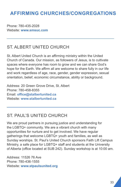Phone: 780-435-2028 Website: **www.smsuc.com**

#### ST. ALBERT UNITED CHURCH

St. Albert United Church is an affirming ministry within the United Church of Canada. Our mission, as followers of Jesus, is to cultivate spaces where everyone has room to grow and we can share God's hope for the Earth. We affirm all are welcome to share fully in our life and work regardless of age, race, gender, gender expression, sexual orientation, belief, economic circumstance, ability or background.

Address: 20 Green Grove Drive, St. Albert Phone: 780-458-8355 Email: **office@stalbertunited.ca** Website: **www.stalbertunited.ca**

#### ST. PAUL'S UNITED CHURCH

We are proud partners in pursuing justice and understanding for the LGBTQ+ community. We are a vibrant church with many opportunities for nurture and to get involved. We have regular gatherings that welcome LGBTQ+ youth and families, as well as Sunday worships. St. Paul's United Church sponsors Faith Lift Campus Ministry, a safe place for LGBTQ+ staff and students at the University of Alberta (office located at SUB 242). Sunday workshop is at 10:00 am.

Address: 11526 76 Ave Phone: 780-436-1555 Website: **www.stpaulsunited.org**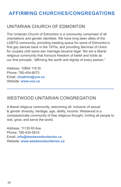#### UNITARIAN CHURCH OF EDMONTON

The Unitarian Church of Edmonton is a community comprised of all orientations and gender identities. We have long been allies of the LGBTQ community, providing meeting space for some of Edmonton's first gay dances back in the 1970s, and providing Services of Union for couples until same sex marriage became legal. We are a liberal religious community that honours freedom of belief and holds as our first principle, "affirming the worth and dignity of every person."

Address: 10804 119 St Phone: 780-454-8073 Email: **chadmin@uce.ca** Website: **www.uce.ca**

#### WESTWOOD UNITARIAN CONGREGATION

A liberal religious community, welcoming all: inclusive of sexual & gender diversity, heritage, age, ability, income. Westwood is a compassionate community of free religious thought, inviting all people to rest, grow, and serve the world.

Address: 11135 65 Ave Phone: 780-434-5819 Email: **info@westwoodunitarian.ca** Website: **www.westwoodunitarian.ca**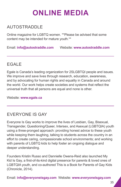## **ONLINE MEDIA**

### AUTOSTRADDLE

Online magazine for LGBTQ women. \*\*Please be advised that some content may be intended for mature youth.\*\*

Email: **info@autostraddle.com** Website: **www.autostraddle.com**

#### **EGALF**

Egale is Canada's leading organization for 2SLGBTQI people and issues. We improve and save lives through research, education, awareness, and by advocating for human rights and equality in Canada and around the world. Our work helps create societies and systems that reflect the universal truth that all persons are equal and none is other.

Website: **www.egale.ca**

#### EVERYONE IS GAY

Everyone Is Gay works to improve the lives of Lesbian, Gay, Bisexual, Transgender, Questioning/Queer, Intersex, and Asexual (LGBTQIA) youth using a three-pronged approach: providing honest advice to these youth while keeping them laughing, talking to students across the country in an effort to create caring, compassionate school environments; and working with parents of LGBTQ kids to help foster an ongoing dialogue and deeper understanding.

Founders Kristin Russo and Dannielle Owens-Reid also launched My Kid Is Gay, a first-of-its-kind digital presence for parents & loved ones of LGBTQIA youth, and co-authored This is a Book for Parents of Gay Kids (Chronicle, 2014).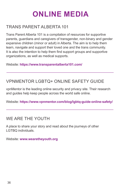## **ONLINE MEDIA**

#### TRANS PARENT ALBERTA 101

Trans Parent Alberta 101 is a compilation of resources for supportive parents, guardians and caregivers of transgender, non-binary and gender expansive children (minor or adult) in Alberta. The aim is to help them learn, navigate and support their loved one and the trans community. It is also the intention to help them find support groups and supportive organizations, as well as medical supports.

Website: **https://www.transparentalberta101.com/**

#### VPNMENTOR LGBTQ+ ONLINE SAFETY GUIDE

vpnMentor is the leading online security and privacy site. Their research and guides help keep people across the world safe online.

Website: **https://www.vpnmentor.com/blog/lgbtq-guide-online-safety/**

#### WE ARE THE YOUTH

A place to share your story and read about the journeys of other LGTBQ individuals.

Website: **www.wearetheyouth.org**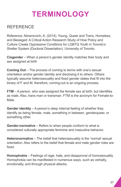## **TERMINOLOGY**

#### **REFERENCE**

Reference: Abramovich, A. (2014). Young, Queer and Trans, Homeless, and Besieged: A Critical Action Research Study of How Policy and Culture Create Oppressive Conditions for LGBTQ Youth in Toronto's Shelter System (Doctoral Dissertation). University of Toronto.

**Cisgender** – When a person's gender identity matches their body and sex assigned at birth

**Coming Out** – The process of coming to terms with one's sexual orientation and/or gender identity and disclosing it to others. Others typically assume heterosexuality and fixed gender states that fit into the binary of F and M, therefore, coming-out is an ongoing process.

**FTM** – A person, who was assigned the female sex at birth, but identifies as male. Also, trans man or transman. FTM is the acronym for Female-to-Male.

**Gender identity** – A person's deep internal feeling of whether they identify as being female, male, something in between, genderqueer, or something other.

**Gender-normative** – Refers to when people conform to what is considered culturally appropriate feminine and masculine behavior.

**Heteronormative** – The belief that heterosexuality is the 'normal' sexual orientation. Also refers to the belief that female and male gender roles are fixed.

**Homophobia** – Feelings of rage, hate, and disapproval of homosexuality. Homophobia can be manifested in numerous ways, such as verbally, emotionally, and through physical attacks.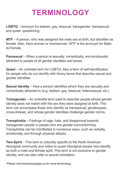## **TERMINOLOGY**

**LGBTQ** – Acronym for lesbian, gay, bisexual, transgender, transsexual, and queer, questioning.

**MTF** – A person, who was assigned the male sex at birth, but identifies as female. Also, trans woman or transwoman. MTF is the acronym for Maleto-Female.

**Pansexual** – When a person is sexually, romantically, and emotionally attracted to people of all gender identities and sexes.

**Queer** – An umbrella term for LGBTQ. Also a term of self-identification for people who do not identify with binary terms that describe sexual and gender identities.

**Sexual identity** – How a person identifies whom they are sexually and romantically attracted to (e.g. lesbian, gay, bisexual, heterosexual, etc.)

**Transgender** – An umbrella term used to describe people whose gender identity does not match with the sex they were assigned at birth. This term can encompass those who identify as transsexual, genderqueer, cross-dresser, and whose gender identities challenge gender norms.

**Transphobia** – Feelings of rage, hate, and disapproval towards transgender people or people who are gender-nonconforming. Transphobia can be manifested in numerous ways, such as verbally, emotionally, and through physical attacks.

**Two-Spirit** – This term is culturally specific to the North American Aboriginal community and refers to queer Aboriginal people who identify as both a male and female spirit. This term is not exclusive to gender identity, and can also refer to sexual orientation.

\*Please visit therainbowpages.ca for more terminology.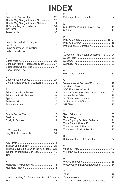## **INDEX**

#### A Accessible Acupuncture................................. 23 Alberta Gay Straight Alliance Conference..... 26 Alberta Gay Straight Alliance Network............. 4 All Saints' Anglican Cathedral ........................ 31 ASPECC........................................................... 4 Autostraddle.................................................... 35

#### B

#### $\overline{C}$

#### D

| Drop-in Single Session Counselling  8 |  |
|---------------------------------------|--|

#### E

#### F

#### H

#### I

| Imperial Sovereign Court of the Wild Rose  28 |  |
|-----------------------------------------------|--|
|                                               |  |
|                                               |  |
|                                               |  |

#### K

| ---- |  |
|------|--|
|      |  |
|      |  |

#### L

|  |  | Landing Society for Gender and Sexual Diversity, |  |
|--|--|--------------------------------------------------|--|
|  |  | 14                                               |  |

| M |  |
|---|--|
|   |  |
|   |  |

#### O

| Old Stratchona Youth Society, The  14 |  |
|---------------------------------------|--|
|                                       |  |

#### P

#### $\Omega$

| Queer and Trans Health Collective. The  24 |  |
|--------------------------------------------|--|
|                                            |  |
|                                            |  |
|                                            |  |

#### R

| . . |  |  |
|-----|--|--|
|     |  |  |

#### S

| Sexual Assault Centre of Edmonton 17    |  |
|-----------------------------------------|--|
|                                         |  |
|                                         |  |
| Southminster-Steinhauer United Church32 |  |
|                                         |  |
|                                         |  |
|                                         |  |
|                                         |  |
|                                         |  |

#### T

#### U Unitarian Church of Edmonton ...................... 34

#### V

#### W

| Westwood Unitarian Congregation  34 |  |
|-------------------------------------|--|

#### $\vee$

| т.                                    |  |
|---------------------------------------|--|
|                                       |  |
|                                       |  |
| YWCA Edmonton Counselling Services 20 |  |
|                                       |  |